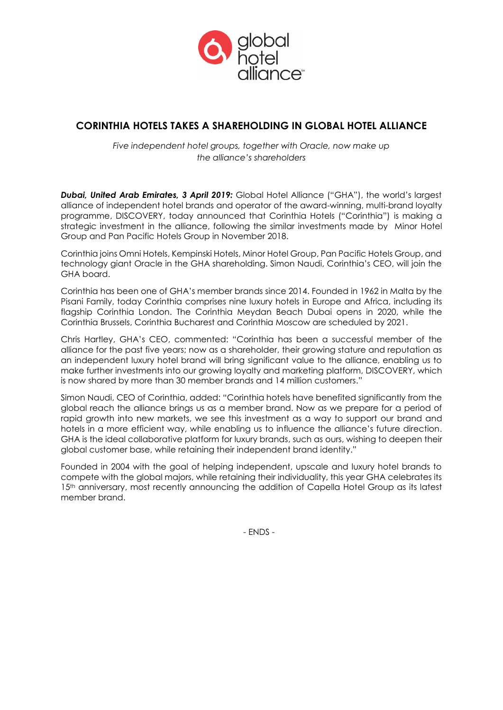

# **CORINTHIA HOTELS TAKES A SHAREHOLDING IN GLOBAL HOTEL ALLIANCE**

*Five independent hotel groups, together with Oracle, now make up the alliance's shareholders*

*Dubai, United Arab Emirates, 3 April 2019:* Global Hotel Alliance ("GHA"), the world's largest alliance of independent hotel brands and operator of the award-winning, multi-brand loyalty programme, DISCOVERY, today announced that Corinthia Hotels ("Corinthia") is making a strategic investment in the alliance, following the similar investments made by Minor Hotel Group and Pan Pacific Hotels Group in November 2018.

Corinthia joins Omni Hotels, Kempinski Hotels, Minor Hotel Group, Pan Pacific Hotels Group, and technology giant Oracle in the GHA shareholding. Simon Naudi, Corinthia's CEO, will join the GHA board.

Corinthia has been one of GHA's member brands since 2014. Founded in 1962 in Malta by the Pisani Family, today Corinthia comprises nine luxury hotels in Europe and Africa, including its flagship Corinthia London. The Corinthia Meydan Beach Dubai opens in 2020, while the Corinthia Brussels, Corinthia Bucharest and Corinthia Moscow are scheduled by 2021.

Chris Hartley, GHA's CEO, commented: "Corinthia has been a successful member of the alliance for the past five years; now as a shareholder, their growing stature and reputation as an independent luxury hotel brand will bring significant value to the alliance, enabling us to make further investments into our growing loyalty and marketing platform, DISCOVERY, which is now shared by more than 30 member brands and 14 million customers."

Simon Naudi, CEO of Corinthia, added: "Corinthia hotels have benefited significantly from the global reach the alliance brings us as a member brand. Now as we prepare for a period of rapid growth into new markets, we see this investment as a way to support our brand and hotels in a more efficient way, while enabling us to influence the alliance's future direction. GHA is the ideal collaborative platform for luxury brands, such as ours, wishing to deepen their global customer base, while retaining their independent brand identity."

Founded in 2004 with the goal of helping independent, upscale and luxury hotel brands to compete with the global majors, while retaining their individuality, this year GHA celebrates its 15<sup>th</sup> anniversary, most recently announcing the addition of Capella Hotel Group as its latest member brand.

- ENDS -